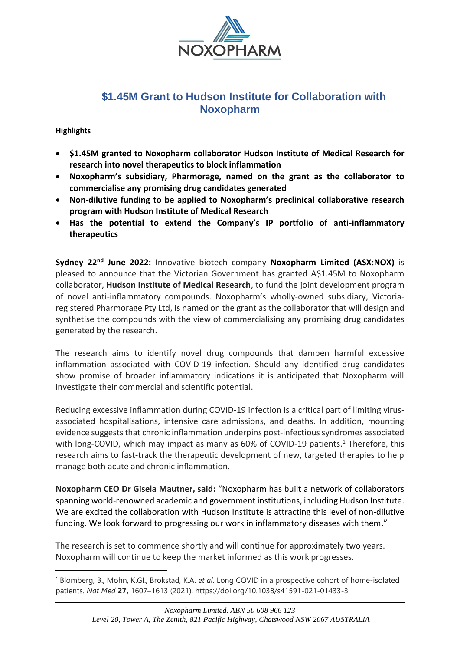

# **\$1.45M Grant to Hudson Institute for Collaboration with Noxopharm**

# **Highlights**

- **\$1.45M granted to Noxopharm collaborator Hudson Institute of Medical Research for research into novel therapeutics to block inflammation**
- **Noxopharm's subsidiary, Pharmorage, named on the grant as the collaborator to commercialise any promising drug candidates generated**
- **Non-dilutive funding to be applied to Noxopharm's preclinical collaborative research program with Hudson Institute of Medical Research**
- **Has the potential to extend the Company's IP portfolio of anti-inflammatory therapeutics**

**Sydney 22nd June 2022:** Innovative biotech company **Noxopharm Limited (ASX:NOX)** is pleased to announce that the Victorian Government has granted A\$1.45M to Noxopharm collaborator, **Hudson Institute of Medical Research**, to fund the joint development program of novel anti-inflammatory compounds. Noxopharm's wholly-owned subsidiary, Victoriaregistered Pharmorage Pty Ltd, is named on the grant as the collaborator that will design and synthetise the compounds with the view of commercialising any promising drug candidates generated by the research.

The research aims to identify novel drug compounds that dampen harmful excessive inflammation associated with COVID-19 infection. Should any identified drug candidates show promise of broader inflammatory indications it is anticipated that Noxopharm will investigate their commercial and scientific potential.

Reducing excessive inflammation during COVID-19 infection is a critical part of limiting virusassociated hospitalisations, intensive care admissions, and deaths. In addition, mounting evidence suggests that chronic inflammation underpins post-infectious syndromes associated with long-COVID, which may impact as many as 60% of COVID-19 patients.<sup>1</sup> Therefore, this research aims to fast-track the therapeutic development of new, targeted therapies to help manage both acute and chronic inflammation.

**Noxopharm CEO Dr Gisela Mautner, said:** "Noxopharm has built a network of collaborators spanning world-renowned academic and government institutions, including Hudson Institute. We are excited the collaboration with Hudson Institute is attracting this level of non-dilutive funding. We look forward to progressing our work in inflammatory diseases with them."

The research is set to commence shortly and will continue for approximately two years. Noxopharm will continue to keep the market informed as this work progresses.

<sup>1</sup> Blomberg, B., Mohn, K.GI., Brokstad, K.A. *et al.* Long COVID in a prospective cohort of home-isolated patients. *Nat Med* **27,** 1607–1613 (2021). https://doi.org/10.1038/s41591-021-01433-3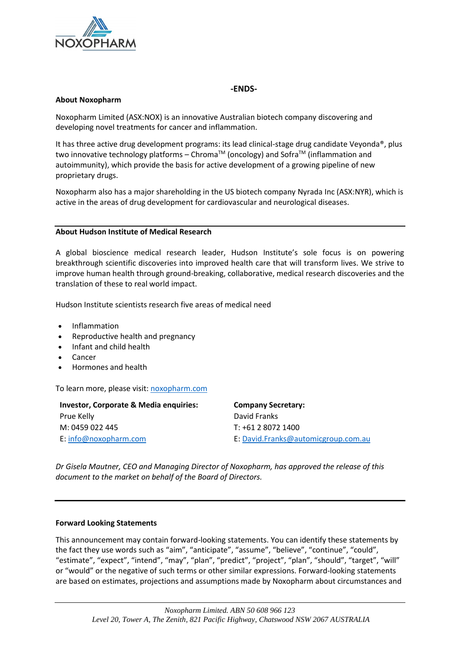

## **-ENDS-**

### **About Noxopharm**

Noxopharm Limited (ASX:NOX) is an innovative Australian biotech company discovering and developing novel treatments for cancer and inflammation.

It has three active drug development programs: its lead clinical-stage drug candidate Veyonda®, plus two innovative technology platforms – Chroma<sup>TM</sup> (oncology) and Sofra<sup>TM</sup> (inflammation and autoimmunity), which provide the basis for active development of a growing pipeline of new proprietary drugs.

Noxopharm also has a major shareholding in the US biotech company Nyrada Inc (ASX:NYR), which is active in the areas of drug development for cardiovascular and neurological diseases.

#### **About Hudson Institute of Medical Research**

A global bioscience medical research leader, Hudson Institute's sole focus is on powering breakthrough scientific discoveries into improved health care that will transform lives. We strive to improve human health through ground-breaking, collaborative, medical research discoveries and the translation of these to real world impact.

Hudson Institute scientists research five areas of medical need

- Inflammation
- Reproductive health and pregnancy
- Infant and child health
- Cancer
- Hormones and health

To learn more, please visit: [noxopharm.com](https://www.noxopharm.com/site/content/)

| <b>Investor, Corporate &amp; Media enquiries:</b> | <b>Company Secretary:</b>           |
|---------------------------------------------------|-------------------------------------|
| Prue Kelly                                        | David Franks                        |
| M: 0459 022 445                                   | T: +61 2 8072 1400                  |
| E: info@noxopharm.com                             | E: David.Franks@automicgroup.com.au |

*Dr Gisela Mautner, CEO and Managing Director of Noxopharm, has approved the release of this document to the market on behalf of the Board of Directors.* 

#### **Forward Looking Statements**

This announcement may contain forward-looking statements. You can identify these statements by the fact they use words such as "aim", "anticipate", "assume", "believe", "continue", "could", "estimate", "expect", "intend", "may", "plan", "predict", "project", "plan", "should", "target", "will" or "would" or the negative of such terms or other similar expressions. Forward-looking statements are based on estimates, projections and assumptions made by Noxopharm about circumstances and